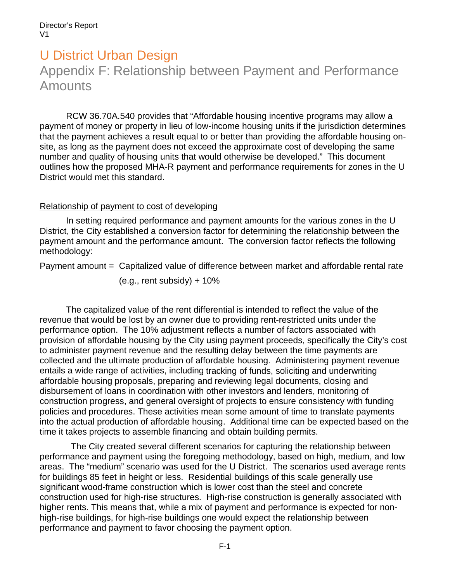# U District Urban Design Appendix F: Relationship between Payment and Performance Amounts

RCW 36.70A.540 provides that "Affordable housing incentive programs may allow a payment of money or property in lieu of low-income housing units if the jurisdiction determines that the payment achieves a result equal to or better than providing the affordable housing onsite, as long as the payment does not exceed the approximate cost of developing the same number and quality of housing units that would otherwise be developed." This document outlines how the proposed MHA-R payment and performance requirements for zones in the U District would met this standard.

#### Relationship of payment to cost of developing

In setting required performance and payment amounts for the various zones in the U District, the City established a conversion factor for determining the relationship between the payment amount and the performance amount. The conversion factor reflects the following methodology:

Payment amount = Capitalized value of difference between market and affordable rental rate

 $(e.q.,$  rent subsidy) +  $10\%$ 

The capitalized value of the rent differential is intended to reflect the value of the revenue that would be lost by an owner due to providing rent-restricted units under the performance option. The 10% adjustment reflects a number of factors associated with provision of affordable housing by the City using payment proceeds, specifically the City's cost to administer payment revenue and the resulting delay between the time payments are collected and the ultimate production of affordable housing. Administering payment revenue entails a wide range of activities, including tracking of funds, soliciting and underwriting affordable housing proposals, preparing and reviewing legal documents, closing and disbursement of loans in coordination with other investors and lenders, monitoring of construction progress, and general oversight of projects to ensure consistency with funding policies and procedures. These activities mean some amount of time to translate payments into the actual production of affordable housing. Additional time can be expected based on the time it takes projects to assemble financing and obtain building permits.

 The City created several different scenarios for capturing the relationship between performance and payment using the foregoing methodology, based on high, medium, and low areas. The "medium" scenario was used for the U District. The scenarios used average rents for buildings 85 feet in height or less. Residential buildings of this scale generally use significant wood-frame construction which is lower cost than the steel and concrete construction used for high-rise structures. High-rise construction is generally associated with higher rents. This means that, while a mix of payment and performance is expected for nonhigh-rise buildings, for high-rise buildings one would expect the relationship between performance and payment to favor choosing the payment option.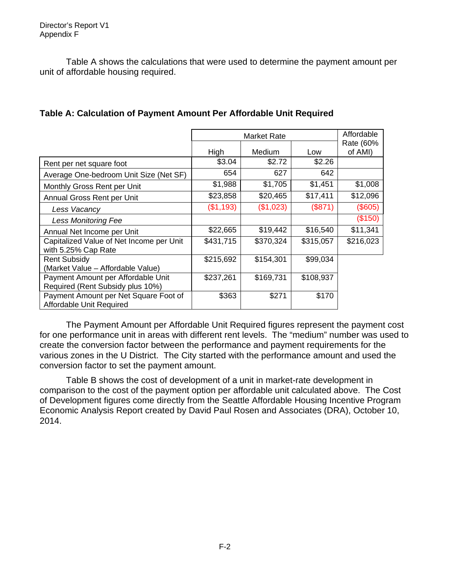Table A shows the calculations that were used to determine the payment amount per unit of affordable housing required.

|                                                                        |           | Affordable |           |                      |
|------------------------------------------------------------------------|-----------|------------|-----------|----------------------|
|                                                                        | High      | Medium     | Low       | Rate (60%<br>of AMI) |
| Rent per net square foot                                               | \$3.04    | \$2.72     | \$2.26    |                      |
| Average One-bedroom Unit Size (Net SF)                                 | 654       | 627        | 642       |                      |
| Monthly Gross Rent per Unit                                            | \$1,988   | \$1,705    | \$1,451   | \$1,008              |
| Annual Gross Rent per Unit                                             | \$23,858  | \$20,465   | \$17,411  | \$12,096             |
| Less Vacancy                                                           | (\$1,193) | (\$1,023)  | (\$871)   | (\$605)              |
| <b>Less Monitoring Fee</b>                                             |           |            |           | (\$150)              |
| Annual Net Income per Unit                                             | \$22,665  | \$19,442   | \$16,540  | \$11,341             |
| Capitalized Value of Net Income per Unit<br>with 5.25% Cap Rate        | \$431,715 | \$370,324  | \$315,057 | \$216,023            |
| <b>Rent Subsidy</b><br>(Market Value - Affordable Value)               | \$215,692 | \$154,301  | \$99,034  |                      |
| Payment Amount per Affordable Unit<br>Required (Rent Subsidy plus 10%) | \$237,261 | \$169,731  | \$108,937 |                      |
| Payment Amount per Net Square Foot of<br>Affordable Unit Required      | \$363     | \$271      | \$170     |                      |

The Payment Amount per Affordable Unit Required figures represent the payment cost for one performance unit in areas with different rent levels. The "medium" number was used to create the conversion factor between the performance and payment requirements for the various zones in the U District. The City started with the performance amount and used the conversion factor to set the payment amount.

Table B shows the cost of development of a unit in market-rate development in comparison to the cost of the payment option per affordable unit calculated above. The Cost of Development figures come directly from the Seattle Affordable Housing Incentive Program Economic Analysis Report created by David Paul Rosen and Associates (DRA), October 10, 2014.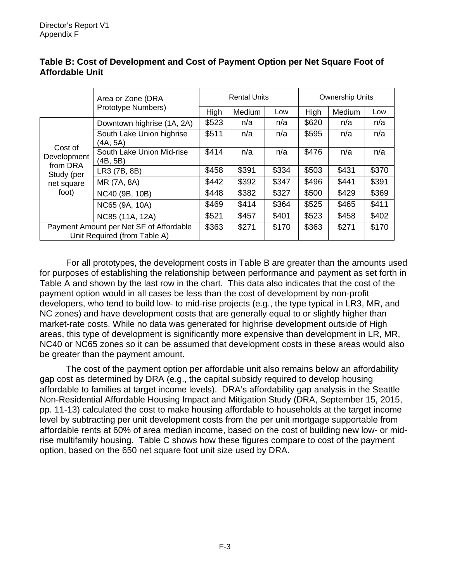|                                                                         | Area or Zone (DRA                     | <b>Rental Units</b> |        | <b>Ownership Units</b> |       |        |       |
|-------------------------------------------------------------------------|---------------------------------------|---------------------|--------|------------------------|-------|--------|-------|
|                                                                         | Prototype Numbers)                    | High                | Medium | Low                    | High  | Medium | Low   |
| Cost of<br>Development<br>from DRA<br>Study (per<br>net square<br>foot) | Downtown highrise (1A, 2A)            | \$523               | n/a    | n/a                    | \$620 | n/a    | n/a   |
|                                                                         | South Lake Union highrise<br>(4A, 5A) | \$511               | n/a    | n/a                    | \$595 | n/a    | n/a   |
|                                                                         | South Lake Union Mid-rise<br>(4B, 5B) | \$414               | n/a    | n/a                    | \$476 | n/a    | n/a   |
|                                                                         | LR3 (7B, 8B)                          | \$458               | \$391  | \$334                  | \$503 | \$431  | \$370 |
|                                                                         | MR (7A, 8A)                           | \$442               | \$392  | \$347                  | \$496 | \$441  | \$391 |
|                                                                         | NC40 (9B, 10B)                        | \$448               | \$382  | \$327                  | \$500 | \$429  | \$369 |
|                                                                         | NC65 (9A, 10A)                        | \$469               | \$414  | \$364                  | \$525 | \$465  | \$411 |
|                                                                         | NC85 (11A, 12A)                       | \$521               | \$457  | \$401                  | \$523 | \$458  | \$402 |
| Payment Amount per Net SF of Affordable<br>Unit Required (from Table A) |                                       | \$363               | \$271  | \$170                  | \$363 | \$271  | \$170 |

## **Table B: Cost of Development and Cost of Payment Option per Net Square Foot of Affordable Unit**

For all prototypes, the development costs in Table B are greater than the amounts used for purposes of establishing the relationship between performance and payment as set forth in Table A and shown by the last row in the chart. This data also indicates that the cost of the payment option would in all cases be less than the cost of development by non-profit developers, who tend to build low- to mid-rise projects (e.g., the type typical in LR3, MR, and NC zones) and have development costs that are generally equal to or slightly higher than market-rate costs. While no data was generated for highrise development outside of High areas, this type of development is significantly more expensive than development in LR, MR, NC40 or NC65 zones so it can be assumed that development costs in these areas would also be greater than the payment amount.

The cost of the payment option per affordable unit also remains below an affordability gap cost as determined by DRA (e.g., the capital subsidy required to develop housing affordable to families at target income levels). DRA's affordability gap analysis in the Seattle Non-Residential Affordable Housing Impact and Mitigation Study (DRA, September 15, 2015, pp. 11-13) calculated the cost to make housing affordable to households at the target income level by subtracting per unit development costs from the per unit mortgage supportable from affordable rents at 60% of area median income, based on the cost of building new low- or midrise multifamily housing. Table C shows how these figures compare to cost of the payment option, based on the 650 net square foot unit size used by DRA.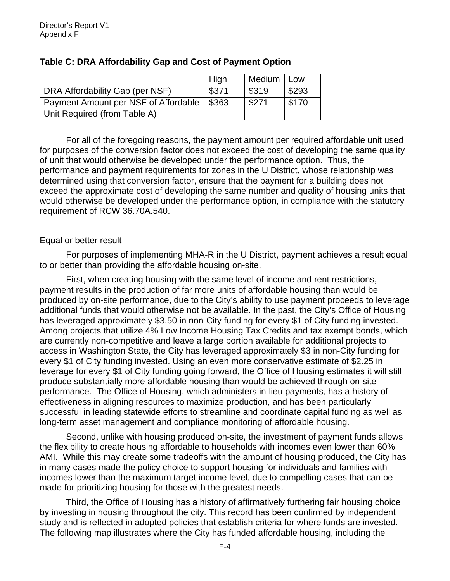|                                      | High  | Medium | Low   |
|--------------------------------------|-------|--------|-------|
| DRA Affordability Gap (per NSF)      | \$371 | \$319  | \$293 |
| Payment Amount per NSF of Affordable | \$363 | \$271  | \$170 |
| Unit Required (from Table A)         |       |        |       |

## **Table C: DRA Affordability Gap and Cost of Payment Option**

For all of the foregoing reasons, the payment amount per required affordable unit used for purposes of the conversion factor does not exceed the cost of developing the same quality of unit that would otherwise be developed under the performance option. Thus, the performance and payment requirements for zones in the U District, whose relationship was determined using that conversion factor, ensure that the payment for a building does not exceed the approximate cost of developing the same number and quality of housing units that would otherwise be developed under the performance option, in compliance with the statutory requirement of RCW 36.70A.540.

#### Equal or better result

For purposes of implementing MHA-R in the U District, payment achieves a result equal to or better than providing the affordable housing on-site.

First, when creating housing with the same level of income and rent restrictions, payment results in the production of far more units of affordable housing than would be produced by on-site performance, due to the City's ability to use payment proceeds to leverage additional funds that would otherwise not be available. In the past, the City's Office of Housing has leveraged approximately \$3.50 in non-City funding for every \$1 of City funding invested. Among projects that utilize 4% Low Income Housing Tax Credits and tax exempt bonds, which are currently non-competitive and leave a large portion available for additional projects to access in Washington State, the City has leveraged approximately \$3 in non-City funding for every \$1 of City funding invested. Using an even more conservative estimate of \$2.25 in leverage for every \$1 of City funding going forward, the Office of Housing estimates it will still produce substantially more affordable housing than would be achieved through on-site performance. The Office of Housing, which administers in-lieu payments, has a history of effectiveness in aligning resources to maximize production, and has been particularly successful in leading statewide efforts to streamline and coordinate capital funding as well as long-term asset management and compliance monitoring of affordable housing.

Second, unlike with housing produced on-site, the investment of payment funds allows the flexibility to create housing affordable to households with incomes even lower than 60% AMI. While this may create some tradeoffs with the amount of housing produced, the City has in many cases made the policy choice to support housing for individuals and families with incomes lower than the maximum target income level, due to compelling cases that can be made for prioritizing housing for those with the greatest needs.

Third, the Office of Housing has a history of affirmatively furthering fair housing choice by investing in housing throughout the city. This record has been confirmed by independent study and is reflected in adopted policies that establish criteria for where funds are invested. The following map illustrates where the City has funded affordable housing, including the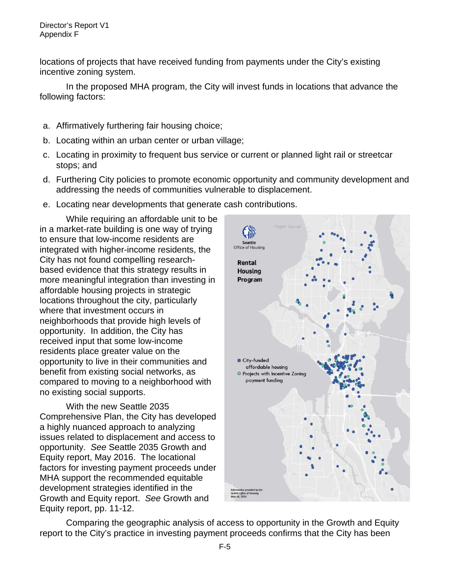locations of projects that have received funding from payments under the City's existing incentive zoning system.

In the proposed MHA program, the City will invest funds in locations that advance the following factors:

- a. Affirmatively furthering fair housing choice;
- b. Locating within an urban center or urban village;
- c. Locating in proximity to frequent bus service or current or planned light rail or streetcar stops; and
- d. Furthering City policies to promote economic opportunity and community development and addressing the needs of communities vulnerable to displacement.
- e. Locating near developments that generate cash contributions.

While requiring an affordable unit to be in a market-rate building is one way of trying to ensure that low-income residents are integrated with higher-income residents, the City has not found compelling researchbased evidence that this strategy results in more meaningful integration than investing in affordable housing projects in strategic locations throughout the city, particularly where that investment occurs in neighborhoods that provide high levels of opportunity. In addition, the City has received input that some low-income residents place greater value on the opportunity to live in their communities and benefit from existing social networks, as compared to moving to a neighborhood with no existing social supports.

With the new Seattle 2035 Comprehensive Plan, the City has developed a highly nuanced approach to analyzing issues related to displacement and access to opportunity. *See* Seattle 2035 Growth and Equity report, May 2016. The locational factors for investing payment proceeds under MHA support the recommended equitable development strategies identified in the Growth and Equity report. *See* Growth and Equity report, pp. 11-12.



Comparing the geographic analysis of access to opportunity in the Growth and Equity report to the City's practice in investing payment proceeds confirms that the City has been